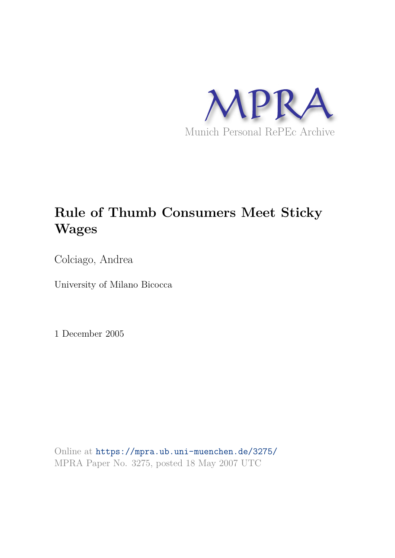

# **Rule of Thumb Consumers Meet Sticky Wages**

Colciago, Andrea

University of Milano Bicocca

1 December 2005

Online at https://mpra.ub.uni-muenchen.de/3275/ MPRA Paper No. 3275, posted 18 May 2007 UTC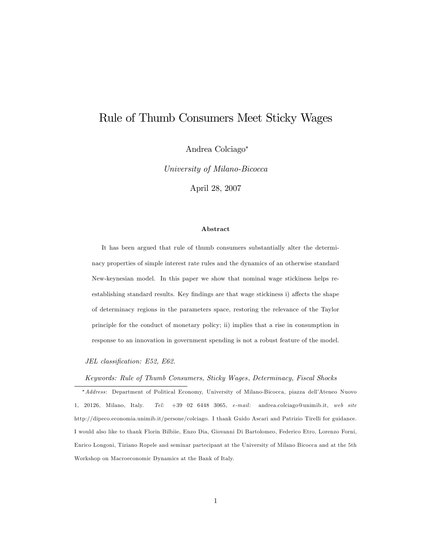## Rule of Thumb Consumers Meet Sticky Wages

Andrea Colciago

University of Milano-Bicocca

April 28, 2007

#### Abstract

It has been argued that rule of thumb consumers substantially alter the determinacy properties of simple interest rate rules and the dynamics of an otherwise standard New-keynesian model. In this paper we show that nominal wage stickiness helps reestablishing standard results. Key findings are that wage stickiness i) affects the shape of determinacy regions in the parameters space, restoring the relevance of the Taylor principle for the conduct of monetary policy; ii) implies that a rise in consumption in response to an innovation in government spending is not a robust feature of the model.

JEL classification: E52, E62.

#### Keywords: Rule of Thumb Consumers, Sticky Wages, Determinacy, Fiscal Shocks

\* Address: Department of Political Economy, University of Milano-Bicocca, piazza dell'Ateneo Nuovo 1, 20126, Milano, Italy. Tel: +39 02 6448 3065, e-mail: andrea.colciago@unimib.it, web site http://dipeco.economia.unimib.it/persone/colciago. I thank Guido Ascari and Patrizio Tirelli for guidance. I would also like to thank Florin Bilbiie, Enzo Dia, Giovanni Di Bartolomeo, Federico Etro, Lorenzo Forni, Enrico Longoni, Tiziano Ropele and seminar partecipant at the University of Milano Bicocca and at the 5th Workshop on Macroeconomic Dynamics at the Bank of Italy.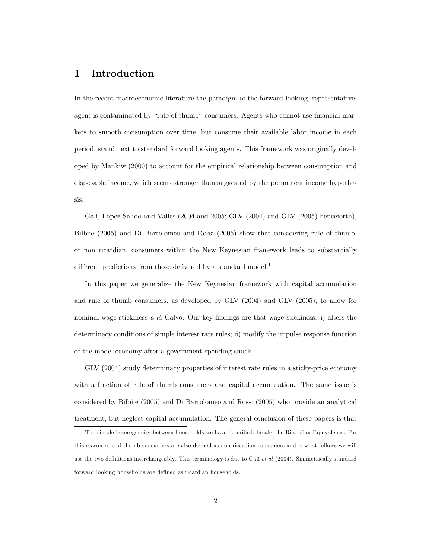## 1 Introduction

In the recent macroeconomic literature the paradigm of the forward looking, representative, agent is contaminated by "rule of thumb" consumers. Agents who cannot use financial markets to smooth consumption over time, but consume their available labor income in each period, stand next to standard forward looking agents. This framework was originally developed by Mankiw (2000) to account for the empirical relationship between consumption and disposable income, which seems stronger than suggested by the permanent income hypothesis.

Galì, Lopez-Salido and Valles (2004 and 2005; GLV (2004) and GLV (2005) henceforth), Bilbiie (2005) and Di Bartolomeo and Rossi (2005) show that considering rule of thumb, or non ricardian, consumers within the New Keynesian framework leads to substantially different predictions from those delivered by a standard model.<sup>1</sup>

In this paper we generalize the New Keynesian framework with capital accumulation and rule of thumb consumers, as developed by GLV (2004) and GLV (2005), to allow for nominal wage stickiness  $a \, l\dot{a}$  Calvo. Our key findings are that wage stickiness: i) alters the determinacy conditions of simple interest rate rules; ii) modify the impulse response function of the model economy after a government spending shock.

GLV (2004) study determinacy properties of interest rate rules in a sticky-price economy with a fraction of rule of thumb consumers and capital accumulation. The same issue is considered by Bilbiie (2005) and Di Bartolomeo and Rossi (2005) who provide an analytical treatment, but neglect capital accumulation. The general conclusion of these papers is that

<sup>1</sup> The simple heterogeneity between households we have described, breaks the Ricardian Equivalence. For this reason rule of thumb consumers are also defined as non ricardian consumers and it what follows we will use the two definitions interchangeably. This terminology is due to Gali  $et$  al (2004). Simmetrically standard forward looking households are defined as ricardian households.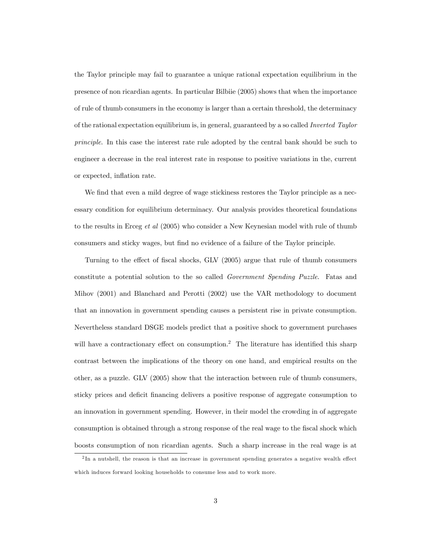the Taylor principle may fail to guarantee a unique rational expectation equilibrium in the presence of non ricardian agents. In particular Bilbiie (2005) shows that when the importance of rule of thumb consumers in the economy is larger than a certain threshold, the determinacy of the rational expectation equilibrium is, in general, guaranteed by a so called Inverted Taylor principle. In this case the interest rate rule adopted by the central bank should be such to engineer a decrease in the real interest rate in response to positive variations in the, current or expected, inflation rate.

We find that even a mild degree of wage stickiness restores the Taylor principle as a necessary condition for equilibrium determinacy. Our analysis provides theoretical foundations to the results in Erceg et al (2005) who consider a New Keynesian model with rule of thumb consumers and sticky wages, but find no evidence of a failure of the Taylor principle.

Turning to the effect of fiscal shocks, GLV (2005) argue that rule of thumb consumers constitute a potential solution to the so called Government Spending Puzzle. Fatas and Mihov (2001) and Blanchard and Perotti (2002) use the VAR methodology to document that an innovation in government spending causes a persistent rise in private consumption. Nevertheless standard DSGE models predict that a positive shock to government purchases will have a contractionary effect on consumption.<sup>2</sup> The literature has identified this sharp contrast between the implications of the theory on one hand, and empirical results on the other, as a puzzle. GLV (2005) show that the interaction between rule of thumb consumers, sticky prices and deficit financing delivers a positive response of aggregate consumption to an innovation in government spending. However, in their model the crowding in of aggregate consumption is obtained through a strong response of the real wage to the fiscal shock which boosts consumption of non ricardian agents. Such a sharp increase in the real wage is at

 $2$ In a nutshell, the reason is that an increase in government spending generates a negative wealth effect which induces forward looking households to consume less and to work more.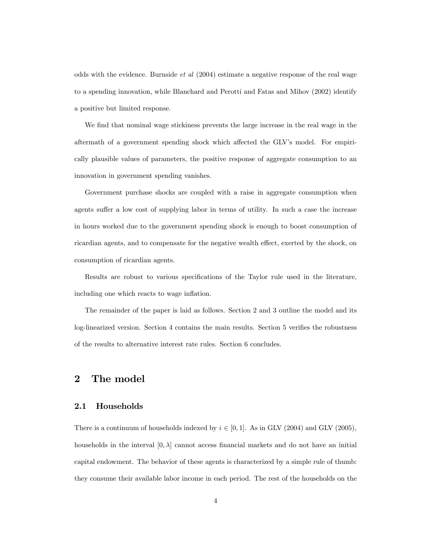odds with the evidence. Burnside et al (2004) estimate a negative response of the real wage to a spending innovation, while Blanchard and Perotti and Fatas and Mihov (2002) identify a positive but limited response.

We find that nominal wage stickiness prevents the large increase in the real wage in the aftermath of a government spending shock which affected the GLV's model. For empirically plausible values of parameters, the positive response of aggregate consumption to an innovation in government spending vanishes.

Government purchase shocks are coupled with a raise in aggregate consumption when agents suffer a low cost of supplying labor in terms of utility. In such a case the increase in hours worked due to the government spending shock is enough to boost consumption of ricardian agents, and to compensate for the negative wealth effect, exerted by the shock, on consumption of ricardian agents.

Results are robust to various specifications of the Taylor rule used in the literature, including one which reacts to wage inflation.

The remainder of the paper is laid as follows. Section 2 and 3 outline the model and its log-linearized version. Section 4 contains the main results. Section 5 verifies the robustness of the results to alternative interest rate rules. Section 6 concludes.

## 2 The model

### 2.1 Households

There is a continuum of households indexed by  $i \in [0, 1]$ . As in GLV (2004) and GLV (2005), households in the interval  $[0, \lambda]$  cannot access financial markets and do not have an initial capital endowment. The behavior of these agents is characterized by a simple rule of thumb: they consume their available labor income in each period. The rest of the households on the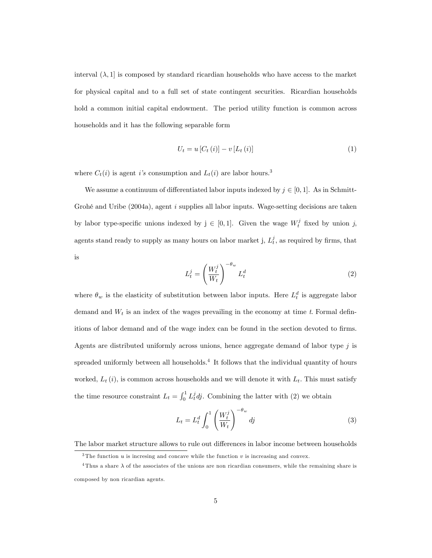interval  $(\lambda, 1]$  is composed by standard ricardian households who have access to the market for physical capital and to a full set of state contingent securities. Ricardian households hold a common initial capital endowment. The period utility function is common across households and it has the following separable form

$$
U_{t} = u\left[C_{t}\left(i\right)\right] - v\left[L_{t}\left(i\right)\right] \tag{1}
$$

where  $C_t(i)$  is agent i's consumption and  $L_t(i)$  are labor hours.<sup>3</sup>

We assume a continuum of differentiated labor inputs indexed by  $j \in [0, 1]$ . As in Schmitt-Grohé and Uribe  $(2004a)$ , agent i supplies all labor inputs. Wage-setting decisions are taken by labor type-specific unions indexed by  $j \in [0, 1]$ . Given the wage  $W_t^j$  fixed by union j, agents stand ready to supply as many hours on labor market j,  $L_t^j$ , as required by firms, that is

$$
L_t^j = \left(\frac{W_t^j}{W_t}\right)^{-\theta_w} L_t^d \tag{2}
$$

where  $\theta_w$  is the elasticity of substitution between labor inputs. Here  $L_t^d$  is aggregate labor demand and  $W_t$  is an index of the wages prevailing in the economy at time t. Formal definitions of labor demand and of the wage index can be found in the section devoted to firms. Agents are distributed uniformly across unions, hence aggregate demand of labor type  $j$  is spreaded uniformly between all households.<sup>4</sup> It follows that the individual quantity of hours worked,  $L_t(i)$ , is common across households and we will denote it with  $L_t$ . This must satisfy the time resource constraint  $L_t = \int_0^1 L_t^j dy$ . Combining the latter with (2) we obtain

$$
L_t = L_t^d \int_0^1 \left(\frac{W_t^j}{W_t}\right)^{-\theta_w} dj \tag{3}
$$

The labor market structure allows to rule out differences in labor income between households

 $3$ The function u is increasing and concave while the function v is increasing and convex.

 $4$ Thus a share  $\lambda$  of the associates of the unions are non ricardian consumers, while the remaining share is composed by non ricardian agents.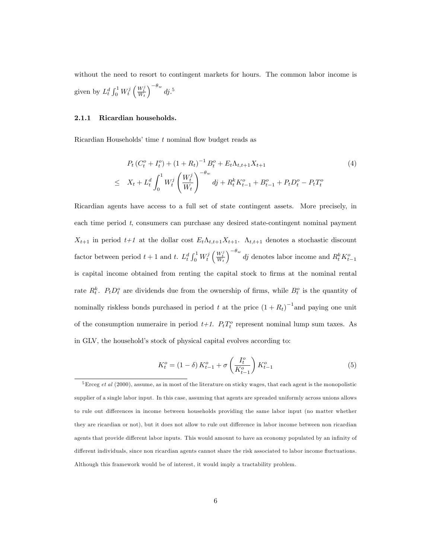without the need to resort to contingent markets for hours. The common labor income is given by  $L_t^d \int_0^1 W_t^j \left( \frac{W_t^j}{W_t} \right)$  $\int$ <sup>- $\theta_w$ </sup> dj.<sup>5</sup>

#### 2.1.1 Ricardian households.

Ricardian Households' time  $t$  nominal flow budget reads as

$$
P_t (C_t^o + I_t^o) + (1 + R_t)^{-1} B_t^o + E_t \Lambda_{t,t+1} X_{t+1}
$$
\n
$$
\leq X_t + L_t^d \int_0^1 W_t^j \left(\frac{W_t^j}{W_t}\right)^{-\theta_w} dj + R_t^k K_{t-1}^o + B_{t-1}^o + P_t D_t^o - P_t T_t^o
$$
\n
$$
(4)
$$

Ricardian agents have access to a full set of state contingent assets. More precisely, in each time period t, consumers can purchase any desired state-contingent nominal payment  $X_{t+1}$  in period  $t+1$  at the dollar cost  $E_t\Lambda_{t,t+1}X_{t+1}$ .  $\Lambda_{t,t+1}$  denotes a stochastic discount factor between period  $t+1$  and t.  $L_t^d \int_0^1 W_t^j \left(\frac{W_t^j}{W_t}\right)$  $\int_{0}^{-\theta_w} dj$  denotes labor income and  $R_t^k K_{t-1}^o$ is capital income obtained from renting the capital stock to firms at the nominal rental rate  $R_t^k$ .  $P_t D_t^o$  are dividends due from the ownership of firms, while  $B_t^o$  is the quantity of nominally riskless bonds purchased in period t at the price  $(1 + R_t)^{-1}$  and paying one unit of the consumption numeraire in period  $t+1$ .  $P_t T_t^o$  represent nominal lump sum taxes. As in GLV, the household's stock of physical capital evolves according to:

$$
K_t^o = (1 - \delta) K_{t-1}^o + \sigma \left(\frac{I_t^o}{K_{t-1}^o}\right) K_{t-1}^o \tag{5}
$$

 ${}^{5}$ Erceg *et al* (2000), assume, as in most of the literature on sticky wages, that each agent is the monopolistic supplier of a single labor input. In this case, assuming that agents are spreaded uniformly across unions allows to rule out differences in income between households providing the same labor input (no matter whether they are ricardian or not), but it does not allow to rule out difference in labor income between non ricardian agents that provide different labor inputs. This would amount to have an economy populated by an infinity of different individuals, since non ricardian agents cannot share the risk associated to labor income fluctuations. Although this framework would be of interest, it would imply a tractability problem.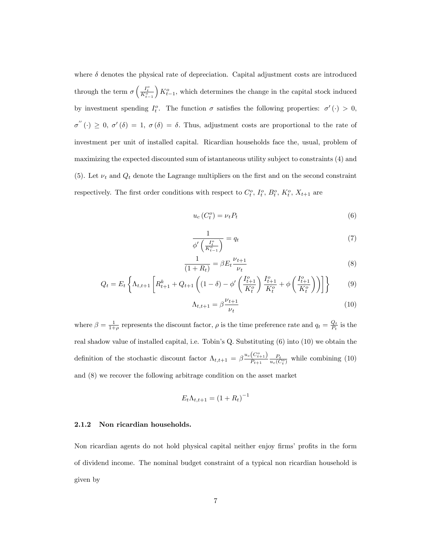where  $\delta$  denotes the physical rate of depreciation. Capital adjustment costs are introduced through the term  $\sigma\left(\frac{I_t^o}{K_{t-1}^o}\right)$  $(K_{t-1}^o)$ , which determines the change in the capital stock induced by investment spending  $I_t^o$ . The function  $\sigma$  satisfies the following properties:  $\sigma'(\cdot) > 0$ ,  $\sigma''(\cdot) \geq 0$ ,  $\sigma'(\delta) = 1$ ,  $\sigma(\delta) = \delta$ . Thus, adjustment costs are proportional to the rate of investment per unit of installed capital. Ricardian households face the, usual, problem of maximizing the expected discounted sum of istantaneous utility subject to constraints (4) and (5). Let  $\nu_t$  and  $Q_t$  denote the Lagrange multipliers on the first and on the second constraint respectively. The first order conditions with respect to  $C_t^o$ ,  $I_t^o$ ,  $B_t^o$ ,  $K_t^o$ ,  $X_{t+1}$  are

$$
u_c(C_t^o) = \nu_t P_t \tag{6}
$$

$$
\frac{1}{\phi'\left(\frac{I_t^o}{K_{t-1}^o}\right)} = q_t \tag{7}
$$

$$
\frac{1}{(1+R_t)} = \beta E_t \frac{\nu_{t+1}}{\nu_t} \tag{8}
$$

$$
Q_t = E_t \left\{ \Lambda_{t,t+1} \left[ R_{t+1}^k + Q_{t+1} \left( (1 - \delta) - \phi' \left( \frac{I_{t+1}^o}{K_t^o} \right) \frac{I_{t+1}^o}{K_t^o} + \phi \left( \frac{I_{t+1}^o}{K_t^o} \right) \right) \right] \right\}
$$
(9)

$$
\Lambda_{t,t+1} = \beta \frac{\nu_{t+1}}{\nu_t} \tag{10}
$$

where  $\beta = \frac{1}{1+\rho}$  represents the discount factor,  $\rho$  is the time preference rate and  $q_t = \frac{Q_t}{P_t}$  is the real shadow value of installed capital, i.e. Tobin's Q. Substituting (6) into (10) we obtain the definition of the stochastic discount factor  $\Lambda_{t,t+1} = \beta \frac{u_c(C_{t+1}^c)}{P_{t+1}}$  $\frac{(C_{t+1})}{P_{t+1}} \frac{P_t}{u_c(C_t^o)}$  while combining (10) and (8) we recover the following arbitrage condition on the asset market

$$
E_t \Lambda_{t,t+1} = (1 + R_t)^{-1}
$$

#### 2.1.2 Non ricardian households.

Non ricardian agents do not hold physical capital neither enjoy firms' profits in the form of dividend income. The nominal budget constraint of a typical non ricardian household is given by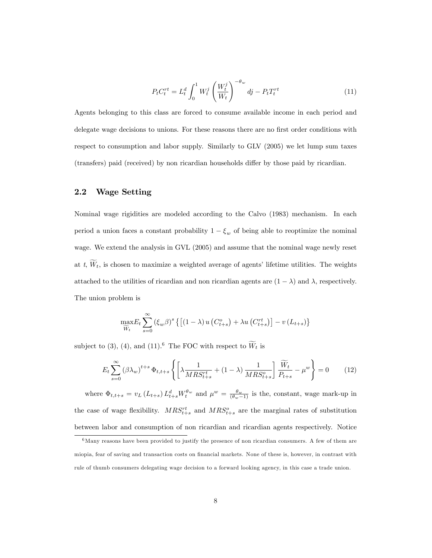$$
P_t C_t^{rt} = L_t^d \int_0^1 W_t^j \left(\frac{W_t^j}{W_t}\right)^{-\theta_w} dj - P_t T_t^{rt}
$$
\n
$$
\tag{11}
$$

Agents belonging to this class are forced to consume available income in each period and delegate wage decisions to unions. For these reasons there are no first order conditions with respect to consumption and labor supply. Similarly to GLV (2005) we let lump sum taxes (transfers) paid (received) by non ricardian households differ by those paid by ricardian.

#### 2.2 Wage Setting

Nominal wage rigidities are modeled according to the Calvo (1983) mechanism. In each period a union faces a constant probability  $1 - \xi_w$  of being able to reoptimize the nominal wage. We extend the analysis in GVL (2005) and assume that the nominal wage newly reset at t,  $W_t$ , is chosen to maximize a weighted average of agents' lifetime utilities. The weights attached to the utilities of ricardian and non ricardian agents are  $(1 - \lambda)$  and  $\lambda$ , respectively. The union problem is

$$
\max_{\widetilde{W}_t} E_t \sum_{s=0}^{\infty} \left(\xi_w \beta\right)^s \left\{ \left[ (1-\lambda) u \left( C_{t+s}^o \right) + \lambda u \left( C_{t+s}^{rt} \right) \right] - v \left( L_{t+s} \right) \right\}
$$

subject to (3), (4), and (11).<sup>6</sup> The FOC with respect to  $W_t$  is

$$
E_t \sum_{s=0}^{\infty} (\beta \lambda_w)^{t+s} \Phi_{t,t+s} \left\{ \left[ \lambda \frac{1}{MRS_{t+s}^{rt}} + (1-\lambda) \frac{1}{MRS_{t+s}^{o}} \right] \frac{\widetilde{W}_t}{P_{t+s}} - \mu^w \right\} = 0 \quad (12)
$$

where  $\Phi_{t,t+s} = v_L (L_{t+s}) L_{t+s}^d W_t^{\theta_w}$  and  $\mu^w = \frac{\theta_w}{(\theta_w - 1)}$  is the, constant, wage mark-up in the case of wage flexibility.  $MRS_{t+s}^{rt}$  and  $MRS_{t+s}^{o}$  are the marginal rates of substitution between labor and consumption of non ricardian and ricardian agents respectively. Notice

 $6$ Many reasons have been provided to justify the presence of non ricardian consumers. A few of them are miopia, fear of saving and transaction costs on financial markets. None of these is, however, in contrast with rule of thumb consumers delegating wage decision to a forward looking agency, in this case a trade union.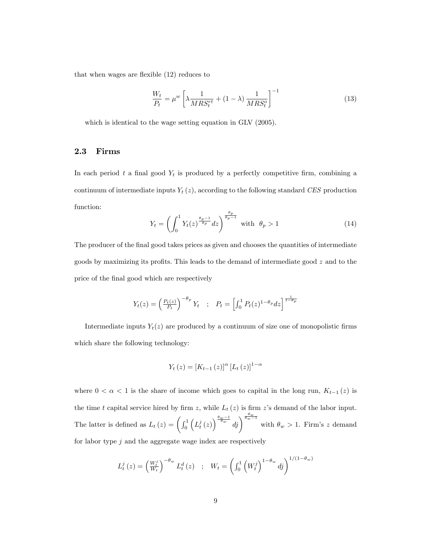that when wages are flexible  $(12)$  reduces to

$$
\frac{W_t}{P_t} = \mu^w \left[ \lambda \frac{1}{MRS_t^{rt}} + (1 - \lambda) \frac{1}{MRS_t^o} \right]^{-1}
$$
\n(13)

which is identical to the wage setting equation in GLV (2005).

#### 2.3 Firms

In each period  $t$  a final good  $Y_t$  is produced by a perfectly competitive firm, combining a continuum of intermediate inputs  $Y_t(z)$ , according to the following standard CES production function:

$$
Y_t = \left(\int_0^1 Y_t(z)^{\frac{\theta_p - 1}{\theta_p}} dz\right)^{\frac{\theta_p}{\theta_p - 1}} \text{ with } \theta_p > 1 \tag{14}
$$

The producer of the final good takes prices as given and chooses the quantities of intermediate goods by maximizing its profits. This leads to the demand of intermediate good  $z$  and to the price of the final good which are respectively

$$
Y_t(z) = \left(\frac{P_t(z)}{P_t}\right)^{-\theta_p} Y_t \quad ; \quad P_t = \left[\int_0^1 P_t(z)^{1-\theta_p} dz\right]^{\frac{1}{1-\theta_p}}
$$

Intermediate inputs  $Y_t(z)$  are produced by a continuum of size one of monopolistic firms which share the following technology:

$$
Y_{t}(z) = [K_{t-1}(z)]^{\alpha} [L_{t}(z)]^{1-\alpha}
$$

where  $0 < \alpha < 1$  is the share of income which goes to capital in the long run,  $K_{t-1}(z)$  is the time t capital service hired by firm z, while  $L_t(z)$  is firm z's demand of the labor input. The latter is defined as  $L_t(z) = \int_0^1$  $\left(L_t^j\left(z\right)\right)^{\frac{\theta_w-1}{\theta_w}}d_j\right)^{\frac{\theta_w}{\theta_w-1}}$ with  $\theta_w > 1$ . Firm's z demand for labor type  $j$  and the aggregate wage index are respectively

$$
L_t^j(z) = \left(\frac{W_t^j}{W_t}\right)^{-\theta_w} L_t^d(z) \quad ; \quad W_t = \left(\int_0^1 \left(W_t^j\right)^{1-\theta_w} dy\right)^{1/(1-\theta_w)}
$$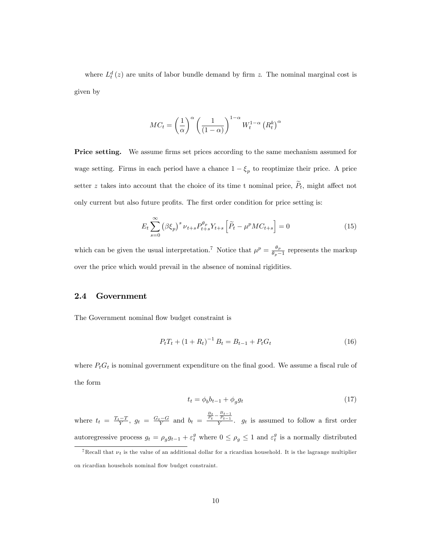where  $L_t^d(z)$  are units of labor bundle demand by firm z. The nominal marginal cost is given by

$$
MC_t = \left(\frac{1}{\alpha}\right)^{\alpha} \left(\frac{1}{(1-\alpha)}\right)^{1-\alpha} W_t^{1-\alpha} \left(R_t^k\right)^{\alpha}
$$

**Price setting.** We assume firms set prices according to the same mechanism assumed for wage setting. Firms in each period have a chance  $1 - \xi_p$  to reoptimize their price. A price setter z takes into account that the choice of its time t nominal price,  $\tilde{P}_t$ , might affect not only current but also future profits. The first order condition for price setting is:

$$
E_t \sum_{s=0}^{\infty} \left(\beta \xi_p\right)^s \nu_{t+s} P_{t+s}^{\theta_p} Y_{t+s} \left[\tilde{P}_t - \mu^p M C_{t+s}\right] = 0 \tag{15}
$$

which can be given the usual interpretation.<sup>7</sup> Notice that  $\mu^p = \frac{\theta_p}{\theta_p - 1}$  represents the markup over the price which would prevail in the absence of nominal rigidities.

#### 2.4 Government

The Government nominal flow budget constraint is

$$
P_t T_t + (1 + R_t)^{-1} B_t = B_{t-1} + P_t G_t \tag{16}
$$

where  $P_tG_t$  is nominal government expenditure on the final good. We assume a fiscal rule of the form

$$
t_t = \phi_b b_{t-1} + \phi_g g_t \tag{17}
$$

where  $t_t = \frac{T_t - T}{Y}$ ,  $g_t = \frac{G_t - G}{Y}$  and  $b_t = \frac{\frac{B_t}{P_t} - \frac{B_{t-1}}{P_{t-1}}}{Y}$ .  $g_t$  is assumed to follow a first order autoregressive process  $g_t = \rho_g g_{t-1} + \varepsilon_t^g$  where  $0 \le \rho_g \le 1$  and  $\varepsilon_t^g$  is a normally distributed

<sup>&</sup>lt;sup>7</sup>Recall that  $\nu_t$  is the value of an additional dollar for a ricardian household. It is the lagrange multiplier on ricardian househols nominal áow budget constraint.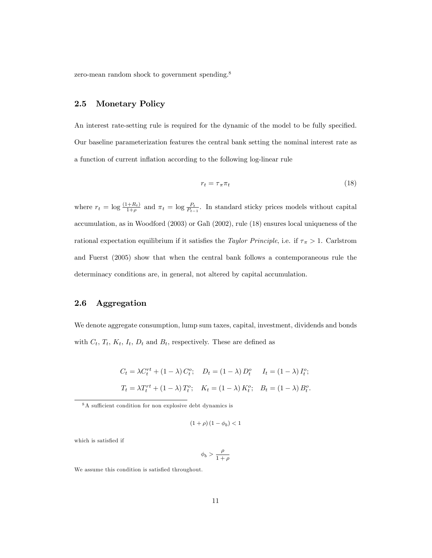zero-mean random shock to government spending.<sup>8</sup>

## 2.5 Monetary Policy

An interest rate-setting rule is required for the dynamic of the model to be fully specified. Our baseline parameterization features the central bank setting the nominal interest rate as a function of current inflation according to the following log-linear rule

$$
r_t = \tau_\pi \pi_t \tag{18}
$$

where  $r_t = \log \frac{(1+R_t)}{1+\rho}$  and  $\pi_t = \log \frac{P_t}{P_{t-1}}$ . In standard sticky prices models without capital accumulation, as in Woodford (2003) or GalÏ (2002), rule (18) ensures local uniqueness of the rational expectation equilibrium if it satisfies the *Taylor Principle*, i.e. if  $\tau_{\pi} > 1$ . Carlstrom and Fuerst (2005) show that when the central bank follows a contemporaneous rule the determinacy conditions are, in general, not altered by capital accumulation.

#### 2.6 Aggregation

We denote aggregate consumption, lump sum taxes, capital, investment, dividends and bonds with  $C_t$ ,  $T_t$ ,  $K_t$ ,  $I_t$ ,  $D_t$  and  $B_t$ , respectively. These are defined as

$$
C_t = \lambda C_t^{rt} + (1 - \lambda) C_t^o; \quad D_t = (1 - \lambda) D_t^o \quad I_t = (1 - \lambda) I_t^o;
$$
  

$$
T_t = \lambda T_t^{rt} + (1 - \lambda) T_t^o; \quad K_t = (1 - \lambda) K_t^o; \quad B_t = (1 - \lambda) B_t^o.
$$

$$
\left(1+\rho\right)\left(1-\phi_b\right)<1
$$

which is satisfied if

$$
\phi_b > \frac{\rho}{1+\rho}
$$

We assume this condition is satisfied throughout.

 $8A$  sufficient condition for non explosive debt dynamics is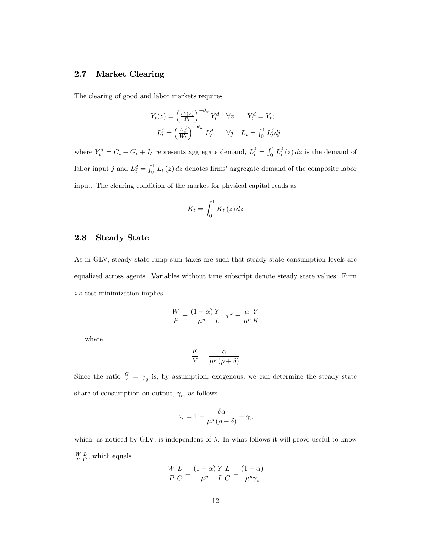#### 2.7 Market Clearing

The clearing of good and labor markets requires

$$
Y_t(z) = \left(\frac{P_t(z)}{P_t}\right)^{-\theta_p} Y_t^d \quad \forall z \qquad Y_t^d = Y_t;
$$
  

$$
L_t^j = \left(\frac{W_t^j}{W_t}\right)^{-\theta_w} L_t^d \qquad \forall j \quad L_t = \int_0^1 L_t^j dj
$$

where  $Y_t^d = C_t + G_t + I_t$  represents aggregate demand,  $L_t^j = \int_0^1 L_t^j(z) dz$  is the demand of labor input j and  $L_t^d = \int_0^1 L_t(z) dz$  denotes firms' aggregate demand of the composite labor input. The clearing condition of the market for physical capital reads as

$$
K_t = \int_0^1 K_t(z) \, dz
$$

#### 2.8 Steady State

As in GLV, steady state lump sum taxes are such that steady state consumption levels are equalized across agents. Variables without time subscript denote steady state values. Firm  $i$ 's cost minimization implies

$$
\frac{W}{P} = \frac{(1-\alpha)}{\mu^p} \frac{Y}{L}; \ r^k = \frac{\alpha}{\mu^p} \frac{Y}{K}
$$

where

$$
\frac{K}{Y} = \frac{\alpha}{\mu^p \left(\rho + \delta\right)}
$$

Since the ratio  $\frac{G}{Y} = \gamma_g$  is, by assumption, exogenous, we can determine the steady state share of consumption on output,  $\gamma_c$ , as follows

$$
\gamma_c = 1 - \frac{\delta \alpha}{\mu^p \left(\rho + \delta\right)} - \gamma_g
$$

which, as noticed by GLV, is independent of  $\lambda$ . In what follows it will prove useful to know  $\frac{W}{P}\frac{L}{C}$ , which equals

$$
\frac{W}{P}\frac{L}{C} = \frac{(1-\alpha)}{\mu^p}\frac{Y}{L}\frac{L}{C} = \frac{(1-\alpha)}{\mu^p \gamma_c}
$$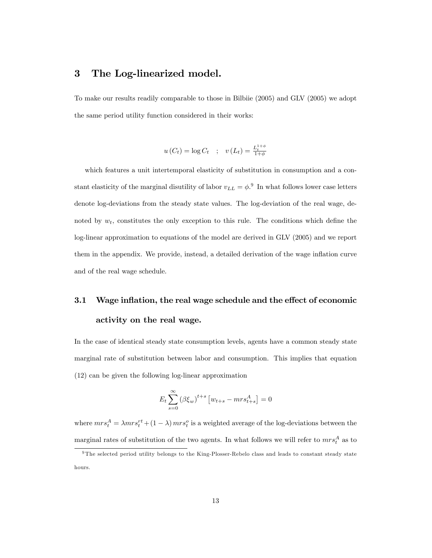## 3 The Log-linearized model.

To make our results readily comparable to those in Bilbiie (2005) and GLV (2005) we adopt the same period utility function considered in their works:

$$
u(C_t) = \log C_t \quad ; \quad v(L_t) = \frac{L_t^{1+\phi}}{1+\phi}
$$

which features a unit intertemporal elasticity of substitution in consumption and a constant elasticity of the marginal disutility of labor  $v_{LL} = \phi$ . In what follows lower case letters denote log-deviations from the steady state values. The log-deviation of the real wage, denoted by  $w_t$ , constitutes the only exception to this rule. The conditions which define the log-linear approximation to equations of the model are derived in GLV (2005) and we report them in the appendix. We provide, instead, a detailed derivation of the wage inflation curve and of the real wage schedule.

## 3.1 Wage inflation, the real wage schedule and the effect of economic activity on the real wage.

In the case of identical steady state consumption levels, agents have a common steady state marginal rate of substitution between labor and consumption. This implies that equation (12) can be given the following log-linear approximation

$$
E_t \sum_{s=0}^{\infty} (\beta \xi_w)^{t+s} \left[ w_{t+s} - mrs_{t+s}^A \right] = 0
$$

where  $mrs_t^A = \lambda mrs_t^{rt} + (1-\lambda) mrs_t^o$  is a weighted average of the log-deviations between the marginal rates of substitution of the two agents. In what follows we will refer to  $mrs_t^A$  as to

<sup>9</sup> The selected period utility belongs to the King-Plosser-Rebelo class and leads to constant steady state hours.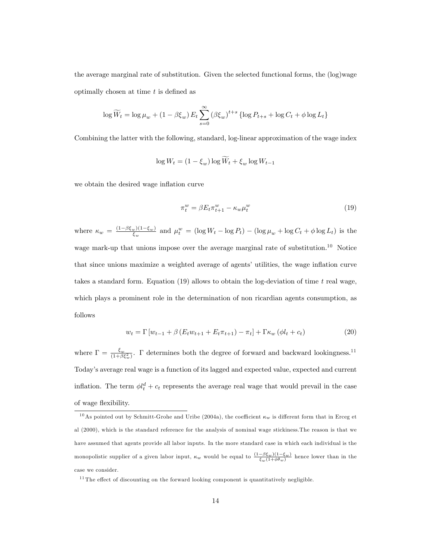the average marginal rate of substitution. Given the selected functional forms, the (log)wage optimally chosen at time  $t$  is defined as

$$
\log \widetilde{W}_t = \log \mu_w + (1 - \beta \xi_w) E_t \sum_{s=0}^{\infty} (\beta \xi_w)^{t+s} \left\{ \log P_{t+s} + \log C_t + \phi \log L_t \right\}
$$

Combining the latter with the following, standard, log-linear approximation of the wage index

$$
\log W_t = (1 - \xi_w) \log \tilde{W}_t + \xi_w \log W_{t-1}
$$

we obtain the desired wage inflation curve

$$
\pi_t^w = \beta E_t \pi_{t+1}^w - \kappa_w \mu_t^w \tag{19}
$$

where  $\kappa_w = \frac{(1-\beta \xi_w)(1-\xi_w)}{\xi}$  $\frac{d_w(1-\xi_w)}{\xi_w}$  and  $\mu_t^w = (\log W_t - \log P_t) - (\log \mu_w + \log C_t + \phi \log L_t)$  is the wage mark-up that unions impose over the average marginal rate of substitution.<sup>10</sup> Notice that since unions maximize a weighted average of agents' utilities, the wage inflation curve takes a standard form. Equation (19) allows to obtain the log-deviation of time  $t$  real wage, which plays a prominent role in the determination of non ricardian agents consumption, as follows

$$
w_t = \Gamma \left[ w_{t-1} + \beta \left( E_t w_{t+1} + E_t \pi_{t+1} \right) - \pi_t \right] + \Gamma \kappa_w \left( \phi l_t + c_t \right) \tag{20}
$$

where  $\Gamma = \frac{\xi_w}{(1+\beta \xi_w^2)}$ .  $\Gamma$  determines both the degree of forward and backward lookingness.<sup>11</sup> Todayís average real wage is a function of its lagged and expected value, expected and current inflation. The term  $\phi l_t^d + c_t$  represents the average real wage that would prevail in the case of wage flexibility.

<sup>&</sup>lt;sup>10</sup>As pointed out by Schmitt-Grohe and Uribe (2004a), the coefficient  $\kappa_w$  is different form that in Erceg et al (2000), which is the standard reference for the analysis of nominal wage stickiness.The reason is that we have assumed that agents provide all labor inputs. In the more standard case in which each individual is the monopolistic supplier of a given labor input,  $\kappa_w$  would be equal to  $\frac{(1-\beta\xi_w)(1-\xi_w)}{\xi_w(1+\phi\theta_w)}$  hence lower than in the case we consider.

 $11$ The effect of discounting on the forward looking component is quantitatively negligible.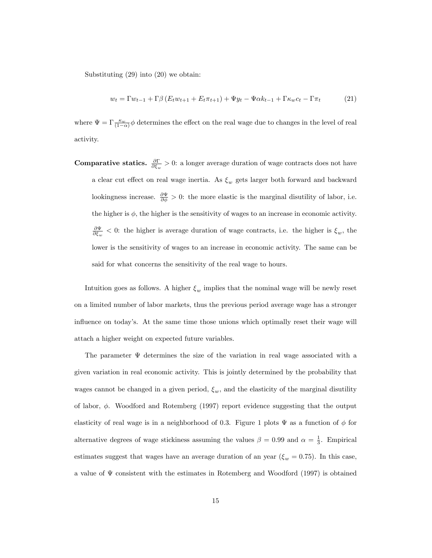Substituting (29) into (20) we obtain:

$$
w_t = \Gamma w_{t-1} + \Gamma \beta \left( E_t w_{t+1} + E_t \pi_{t+1} \right) + \Psi y_t - \Psi \alpha k_{t-1} + \Gamma \kappa_w c_t - \Gamma \pi_t \tag{21}
$$

where  $\Psi = \Gamma \frac{\kappa_w}{(1-\alpha)} \phi$  determines the effect on the real wage due to changes in the level of real activity.

**Comparative statics.**  $\frac{\partial \Gamma}{\partial \xi_w} > 0$ : a longer average duration of wage contracts does not have a clear cut effect on real wage inertia. As  $\xi_w$  gets larger both forward and backward lookingness increase.  $\frac{\partial \Psi}{\partial \phi} > 0$ : the more elastic is the marginal disutility of labor, i.e. the higher is  $\phi$ , the higher is the sensitivity of wages to an increase in economic activity.  $\frac{\partial \Psi}{\partial \xi_w}$  < 0: the higher is average duration of wage contracts, i.e. the higher is  $\xi_w$ , the lower is the sensitivity of wages to an increase in economic activity. The same can be said for what concerns the sensitivity of the real wage to hours.

Intuition goes as follows. A higher  $\xi_w$  implies that the nominal wage will be newly reset on a limited number of labor markets, thus the previous period average wage has a stronger influence on today's. At the same time those unions which optimally reset their wage will attach a higher weight on expected future variables.

The parameter  $\Psi$  determines the size of the variation in real wage associated with a given variation in real economic activity. This is jointly determined by the probability that wages cannot be changed in a given period,  $\xi_w$ , and the elasticity of the marginal disutility of labor,  $\phi$ . Woodford and Rotemberg (1997) report evidence suggesting that the output elasticity of real wage is in a neighborhood of 0.3. Figure 1 plots  $\Psi$  as a function of  $\phi$  for alternative degrees of wage stickiness assuming the values  $\beta = 0.99$  and  $\alpha = \frac{1}{3}$ . Empirical estimates suggest that wages have an average duration of an year ( $\xi_w = 0.75$ ). In this case, a value of  $\Psi$  consistent with the estimates in Rotemberg and Woodford (1997) is obtained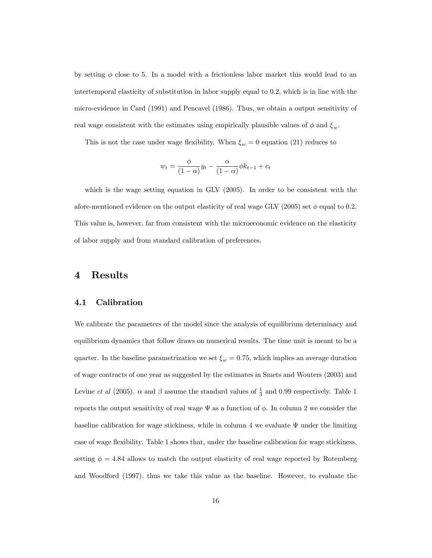by setting  $\phi$  close to 5. In a model with a frictionless labor market this would lead to an intertemporal elasticity of substitution in labor supply equal to 0.2, which is in line with the micro-evidence in Card (1991) and Pencavel (1986). Thus, we obtain a output sensitivity of real wage consistent with the estimates using empirically plausible values of  $\phi$  and  $\xi_w$ .

This is not the case under wage flexibility. When  $\xi_w = 0$  equation (21) reduces to

$$
w_t = \frac{\phi}{(1-\alpha)}y_t - \frac{\alpha}{(1-\alpha)}\phi k_{t-1} + c_t
$$

which is the wage setting equation in GLV (2005). In order to be consistent with the afore-mentioned evidence on the output elasticity of real wage GLV (2005) set  $\phi$  equal to 0.2. This value is, however, far from consistent with the microeconomic evidence on the elasticity of labor supply and from standard calibration of preferences.

### 4 Results

#### 4.1 Calibration

We calibrate the parameters of the model since the analysis of equilibrium determinacy and equilibrium dynamics that follow draws on numerical results. The time unit is meant to be a quarter. In the baseline parametrization we set  $\xi_w = 0.75$ , which implies an average duration of wage contracts of one year as suggested by the estimates in Smets and Wouters (2003) and Levine *et al* (2005).  $\alpha$  and  $\beta$  assume the standard values of  $\frac{1}{3}$  and 0.99 respectively. Table 1 reports the output sensitivity of real wage  $\Psi$  as a function of  $\phi$ . In column 2 we consider the baseline calibration for wage stickiness, while in column 4 we evaluate  $\Psi$  under the limiting case of wage flexibility. Table 1 shows that, under the baseline calibration for wage stickiness, setting  $\phi = 4.84$  allows to match the output elasticity of real wage reported by Rotemberg and Woodford (1997), thus we take this value as the baseline. However, to evaluate the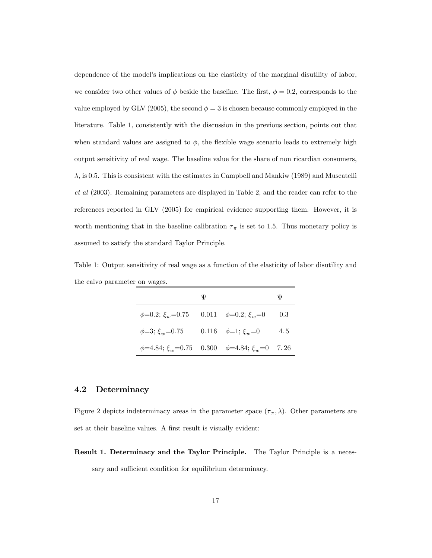dependence of the model's implications on the elasticity of the marginal disutility of labor, we consider two other values of  $\phi$  beside the baseline. The first,  $\phi = 0.2$ , corresponds to the value employed by GLV (2005), the second  $\phi = 3$  is chosen because commonly employed in the literature. Table 1, consistently with the discussion in the previous section, points out that when standard values are assigned to  $\phi$ , the flexible wage scenario leads to extremely high output sensitivity of real wage. The baseline value for the share of non ricardian consumers,  $\lambda$ , is 0.5. This is consistent with the estimates in Campbell and Mankiw (1989) and Muscatelli et al (2003). Remaining parameters are displayed in Table 2, and the reader can refer to the references reported in GLV (2005) for empirical evidence supporting them. However, it is worth mentioning that in the baseline calibration  $\tau_{\pi}$  is set to 1.5. Thus monetary policy is assumed to satisfy the standard Taylor Principle.

Table 1: Output sensitivity of real wage as a function of the elasticity of labor disutility and the calvo parameter on wages.

|                                                                 | Ψ | Ψ   |
|-----------------------------------------------------------------|---|-----|
| $\phi=0.2; \xi_w=0.75$ 0.011 $\phi=0.2; \xi_w=0$                |   | 0.3 |
| $\phi=3; \xi_w=0.75$ 0.116 $\phi=1; \xi_w=0$                    |   | 4.5 |
| $\phi$ =4.84; $\xi_w$ =0.75 0.300 $\phi$ =4.84; $\xi_w$ =0 7.26 |   |     |

#### 4.2 Determinacy

Figure 2 depicts indeterminacy areas in the parameter space  $(\tau_{\pi}, \lambda)$ . Other parameters are set at their baseline values. A first result is visually evident:

Result 1. Determinacy and the Taylor Principle. The Taylor Principle is a necessary and sufficient condition for equilibrium determinacy.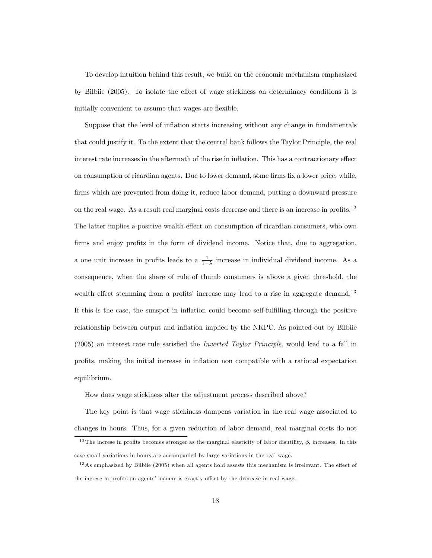To develop intuition behind this result, we build on the economic mechanism emphasized by Bilbiie (2005). To isolate the effect of wage stickiness on determinacy conditions it is initially convenient to assume that wages are flexible.

Suppose that the level of ináation starts increasing without any change in fundamentals that could justify it. To the extent that the central bank follows the Taylor Principle, the real interest rate increases in the aftermath of the rise in inflation. This has a contractionary effect on consumption of ricardian agents. Due to lower demand, some firms fix a lower price, while, firms which are prevented from doing it, reduce labor demand, putting a downward pressure on the real wage. As a result real marginal costs decrease and there is an increase in profits.<sup>12</sup> The latter implies a positive wealth effect on consumption of ricardian consumers, who own firms and enjoy profits in the form of dividend income. Notice that, due to aggregation, a one unit increase in profits leads to a  $\frac{1}{1-\lambda}$  increase in individual dividend income. As a consequence, when the share of rule of thumb consumers is above a given threshold, the wealth effect stemming from a profits' increase may lead to a rise in aggregate demand.<sup>13</sup> If this is the case, the sunspot in inflation could become self-fulfilling through the positive relationship between output and inflation implied by the NKPC. As pointed out by Bilbiie  $(2005)$  an interest rate rule satisfied the *Inverted Taylor Principle*, would lead to a fall in proÖts, making the initial increase in ináation non compatible with a rational expectation equilibrium.

How does wage stickiness alter the adjustment process described above?

The key point is that wage stickiness dampens variation in the real wage associated to changes in hours. Thus, for a given reduction of labor demand, real marginal costs do not

<sup>&</sup>lt;sup>12</sup> The increse in profits becomes stronger as the marginal elasticity of labor disutility,  $\phi$ , increases. In this

case small variations in hours are accompanied by large variations in the real wage.

 $13$ As emphasized by Bilbiie (2005) when all agents hold assests this mechanism is irrelevant. The effect of the increse in profits on agents' income is exactly offset by the decrease in real wage.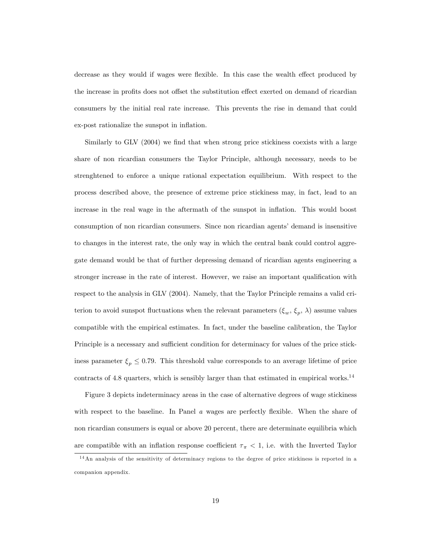decrease as they would if wages were flexible. In this case the wealth effect produced by the increase in profits does not offset the substitution effect exerted on demand of ricardian consumers by the initial real rate increase. This prevents the rise in demand that could ex-post rationalize the sunspot in inflation.

Similarly to  $GLV$  (2004) we find that when strong price stickiness coexists with a large share of non ricardian consumers the Taylor Principle, although necessary, needs to be strenghtened to enforce a unique rational expectation equilibrium. With respect to the process described above, the presence of extreme price stickiness may, in fact, lead to an increase in the real wage in the aftermath of the sunspot in inflation. This would boost consumption of non ricardian consumers. Since non ricardian agentsí demand is insensitive to changes in the interest rate, the only way in which the central bank could control aggregate demand would be that of further depressing demand of ricardian agents engineering a stronger increase in the rate of interest. However, we raise an important qualification with respect to the analysis in GLV (2004). Namely, that the Taylor Principle remains a valid criterion to avoid sunspot fluctuations when the relevant parameters  $(\xi_w, \xi_p, \lambda)$  assume values compatible with the empirical estimates. In fact, under the baseline calibration, the Taylor Principle is a necessary and sufficient condition for determinacy for values of the price stickiness parameter  $\xi_p \leq 0.79$ . This threshold value corresponds to an average lifetime of price contracts of 4.8 quarters, which is sensibly larger than that estimated in empirical works.<sup>14</sup>

Figure 3 depicts indeterminacy areas in the case of alternative degrees of wage stickiness with respect to the baseline. In Panel  $a$  wages are perfectly flexible. When the share of non ricardian consumers is equal or above 20 percent, there are determinate equilibria which are compatible with an inflation response coefficient  $\tau_{\pi}$  < 1, i.e. with the Inverted Taylor

<sup>1 4</sup>An analysis of the sensitivity of determinacy regions to the degree of price stickiness is reported in a companion appendix.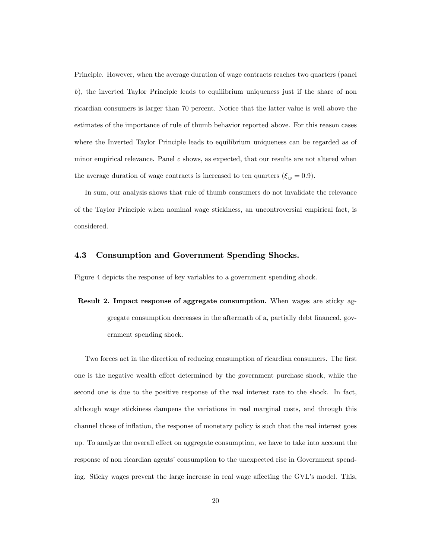Principle. However, when the average duration of wage contracts reaches two quarters (panel b), the inverted Taylor Principle leads to equilibrium uniqueness just if the share of non ricardian consumers is larger than 70 percent. Notice that the latter value is well above the estimates of the importance of rule of thumb behavior reported above. For this reason cases where the Inverted Taylor Principle leads to equilibrium uniqueness can be regarded as of minor empirical relevance. Panel  $c$  shows, as expected, that our results are not altered when the average duration of wage contracts is increased to ten quarters  $(\xi_w = 0.9)$ .

In sum, our analysis shows that rule of thumb consumers do not invalidate the relevance of the Taylor Principle when nominal wage stickiness, an uncontroversial empirical fact, is considered.

### 4.3 Consumption and Government Spending Shocks.

Figure 4 depicts the response of key variables to a government spending shock.

Result 2. Impact response of aggregate consumption. When wages are sticky aggregate consumption decreases in the aftermath of a, partially debt financed, government spending shock.

Two forces act in the direction of reducing consumption of ricardian consumers. The first one is the negative wealth effect determined by the government purchase shock, while the second one is due to the positive response of the real interest rate to the shock. In fact, although wage stickiness dampens the variations in real marginal costs, and through this channel those of inflation, the response of monetary policy is such that the real interest goes up. To analyze the overall effect on aggregate consumption, we have to take into account the response of non ricardian agents' consumption to the unexpected rise in Government spending. Sticky wages prevent the large increase in real wage affecting the GVL's model. This,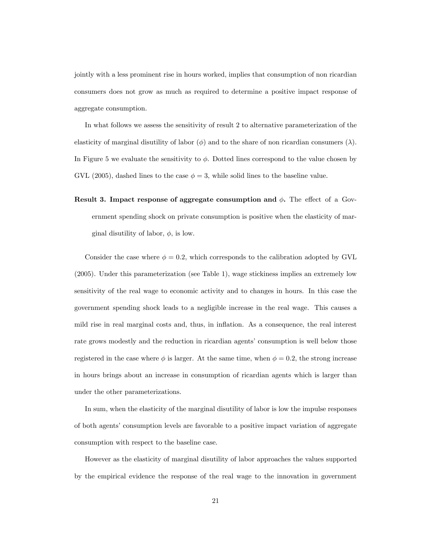jointly with a less prominent rise in hours worked, implies that consumption of non ricardian consumers does not grow as much as required to determine a positive impact response of aggregate consumption.

In what follows we assess the sensitivity of result 2 to alternative parameterization of the elasticity of marginal disutility of labor  $(\phi)$  and to the share of non ricardian consumers  $(\lambda)$ . In Figure 5 we evaluate the sensitivity to  $\phi$ . Dotted lines correspond to the value chosen by GVL (2005), dashed lines to the case  $\phi = 3$ , while solid lines to the baseline value.

Result 3. Impact response of aggregate consumption and  $\phi$ . The effect of a Government spending shock on private consumption is positive when the elasticity of marginal disutility of labor,  $\phi$ , is low.

Consider the case where  $\phi = 0.2$ , which corresponds to the calibration adopted by GVL (2005). Under this parameterization (see Table 1), wage stickiness implies an extremely low sensitivity of the real wage to economic activity and to changes in hours. In this case the government spending shock leads to a negligible increase in the real wage. This causes a mild rise in real marginal costs and, thus, in inflation. As a consequence, the real interest rate grows modestly and the reduction in ricardian agents' consumption is well below those registered in the case where  $\phi$  is larger. At the same time, when  $\phi = 0.2$ , the strong increase in hours brings about an increase in consumption of ricardian agents which is larger than under the other parameterizations.

In sum, when the elasticity of the marginal disutility of labor is low the impulse responses of both agentsí consumption levels are favorable to a positive impact variation of aggregate consumption with respect to the baseline case.

However as the elasticity of marginal disutility of labor approaches the values supported by the empirical evidence the response of the real wage to the innovation in government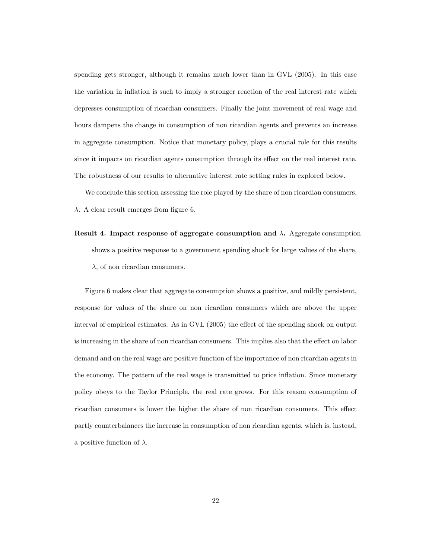spending gets stronger, although it remains much lower than in GVL (2005). In this case the variation in inflation is such to imply a stronger reaction of the real interest rate which depresses consumption of ricardian consumers. Finally the joint movement of real wage and hours dampens the change in consumption of non ricardian agents and prevents an increase in aggregate consumption. Notice that monetary policy, plays a crucial role for this results since it impacts on ricardian agents consumption through its effect on the real interest rate. The robustness of our results to alternative interest rate setting rules in explored below.

We conclude this section assessing the role played by the share of non ricardian consumers,

 $\lambda$ . A clear result emerges from figure 6.

Result 4. Impact response of aggregate consumption and  $\lambda$ . Aggregate consumption shows a positive response to a government spending shock for large values of the share,  $\lambda$ , of non ricardian consumers.

Figure 6 makes clear that aggregate consumption shows a positive, and mildly persistent, response for values of the share on non ricardian consumers which are above the upper interval of empirical estimates. As in GVL  $(2005)$  the effect of the spending shock on output is increasing in the share of non ricardian consumers. This implies also that the effect on labor demand and on the real wage are positive function of the importance of non ricardian agents in the economy. The pattern of the real wage is transmitted to price inflation. Since monetary policy obeys to the Taylor Principle, the real rate grows. For this reason consumption of ricardian consumers is lower the higher the share of non ricardian consumers. This effect partly counterbalances the increase in consumption of non ricardian agents, which is, instead, a positive function of  $\lambda$ .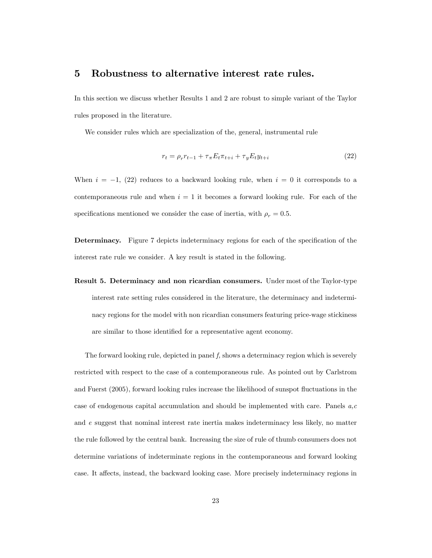### 5 Robustness to alternative interest rate rules.

In this section we discuss whether Results 1 and 2 are robust to simple variant of the Taylor rules proposed in the literature.

We consider rules which are specialization of the, general, instrumental rule

$$
r_t = \rho_r r_{t-1} + \tau_\pi E_t \pi_{t+i} + \tau_y E_t y_{t+i}
$$
\n(22)

When  $i = -1$ , (22) reduces to a backward looking rule, when  $i = 0$  it corresponds to a contemporaneous rule and when  $i = 1$  it becomes a forward looking rule. For each of the specifications mentioned we consider the case of inertia, with  $\rho_r = 0.5$ .

Determinacy. Figure 7 depicts indeterminacy regions for each of the specification of the interest rate rule we consider. A key result is stated in the following.

Result 5. Determinacy and non ricardian consumers. Under most of the Taylor-type interest rate setting rules considered in the literature, the determinacy and indeterminacy regions for the model with non ricardian consumers featuring price-wage stickiness are similar to those identified for a representative agent economy.

The forward looking rule, depicted in panel  $f$ , shows a determinacy region which is severely restricted with respect to the case of a contemporaneous rule. As pointed out by Carlstrom and Fuerst (2005), forward looking rules increase the likelihood of sunspot fluctuations in the case of endogenous capital accumulation and should be implemented with care. Panels  $a, c$ and e suggest that nominal interest rate inertia makes indeterminacy less likely, no matter the rule followed by the central bank. Increasing the size of rule of thumb consumers does not determine variations of indeterminate regions in the contemporaneous and forward looking case. It affects, instead, the backward looking case. More precisely indeterminacy regions in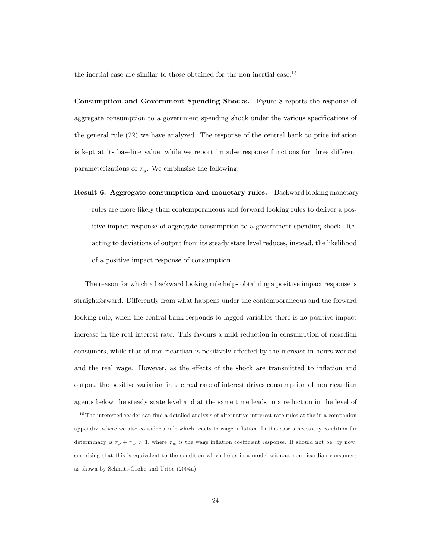the inertial case are similar to those obtained for the non inertial case.<sup>15</sup>

Consumption and Government Spending Shocks. Figure 8 reports the response of aggregate consumption to a government spending shock under the various specifications of the general rule  $(22)$  we have analyzed. The response of the central bank to price inflation is kept at its baseline value, while we report impulse response functions for three different parameterizations of  $\tau_y$ . We emphasize the following.

Result 6. Aggregate consumption and monetary rules. Backward looking monetary rules are more likely than contemporaneous and forward looking rules to deliver a positive impact response of aggregate consumption to a government spending shock. Reacting to deviations of output from its steady state level reduces, instead, the likelihood of a positive impact response of consumption.

The reason for which a backward looking rule helps obtaining a positive impact response is straightforward. Differently from what happens under the contemporaneous and the forward looking rule, when the central bank responds to lagged variables there is no positive impact increase in the real interest rate. This favours a mild reduction in consumption of ricardian consumers, while that of non ricardian is positively affected by the increase in hours worked and the real wage. However, as the effects of the shock are transmitted to inflation and output, the positive variation in the real rate of interest drives consumption of non ricardian agents below the steady state level and at the same time leads to a reduction in the level of

<sup>&</sup>lt;sup>15</sup> The interested reader can find a detailed analysis of alternative intrerest rate rules at the in a companion appendix, where we also consider a rule which reacts to wage inflation. In this case a necessary condition for determinacy is  $\tau_p + \tau_w > 1$ , where  $\tau_w$  is the wage inflation coefficient response. It should not be, by now, surprising that this is equivalent to the condition which holds in a model without non ricardian consumers as shown by Schmitt-Grohe and Uribe (2004a).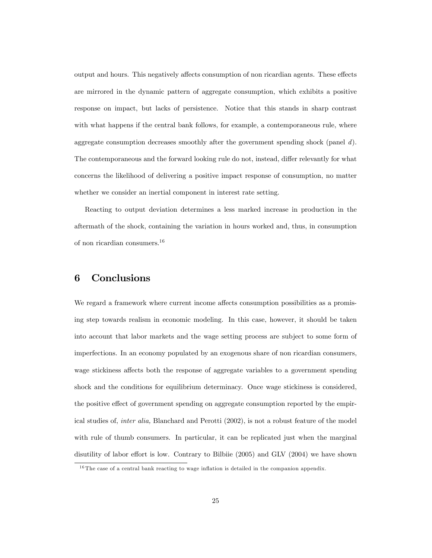output and hours. This negatively affects consumption of non ricardian agents. These effects are mirrored in the dynamic pattern of aggregate consumption, which exhibits a positive response on impact, but lacks of persistence. Notice that this stands in sharp contrast with what happens if the central bank follows, for example, a contemporaneous rule, where aggregate consumption decreases smoothly after the government spending shock (panel  $d$ ). The contemporaneous and the forward looking rule do not, instead, differ relevantly for what concerns the likelihood of delivering a positive impact response of consumption, no matter whether we consider an inertial component in interest rate setting.

Reacting to output deviation determines a less marked increase in production in the aftermath of the shock, containing the variation in hours worked and, thus, in consumption of non ricardian consumers.<sup>16</sup>

## 6 Conclusions

We regard a framework where current income affects consumption possibilities as a promising step towards realism in economic modeling. In this case, however, it should be taken into account that labor markets and the wage setting process are subject to some form of imperfections. In an economy populated by an exogenous share of non ricardian consumers, wage stickiness affects both the response of aggregate variables to a government spending shock and the conditions for equilibrium determinacy. Once wage stickiness is considered, the positive effect of government spending on aggregate consumption reported by the empirical studies of, inter alia, Blanchard and Perotti (2002), is not a robust feature of the model with rule of thumb consumers. In particular, it can be replicated just when the marginal disutility of labor effort is low. Contrary to Bilbiie  $(2005)$  and GLV  $(2004)$  we have shown

 $16$  The case of a central bank reacting to wage inflation is detailed in the companion appendix.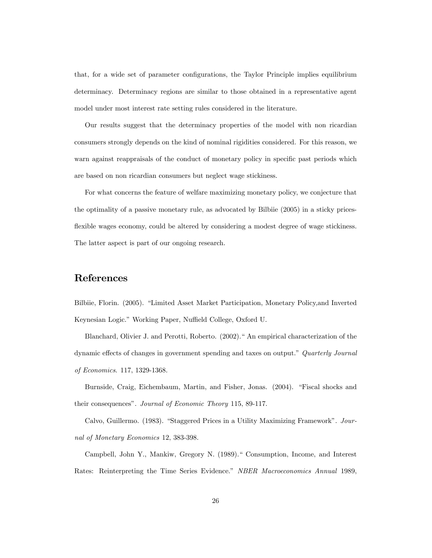that, for a wide set of parameter configurations, the Taylor Principle implies equilibrium determinacy. Determinacy regions are similar to those obtained in a representative agent model under most interest rate setting rules considered in the literature.

Our results suggest that the determinacy properties of the model with non ricardian consumers strongly depends on the kind of nominal rigidities considered. For this reason, we warn against reappraisals of the conduct of monetary policy in specific past periods which are based on non ricardian consumers but neglect wage stickiness.

For what concerns the feature of welfare maximizing monetary policy, we conjecture that the optimality of a passive monetary rule, as advocated by Bilbiie (2005) in a sticky pricesflexible wages economy, could be altered by considering a modest degree of wage stickiness. The latter aspect is part of our ongoing research.

## References

Bilbiie, Florin. (2005). "Limited Asset Market Participation, Monetary Policy, and Inverted Keynesian Logic." Working Paper, Nuffield College, Oxford U.

Blanchard, Olivier J. and Perotti, Roberto. (2002)." An empirical characterization of the dynamic effects of changes in government spending and taxes on output." Quarterly Journal of Economics. 117, 1329-1368.

Burnside, Craig, Eichembaum, Martin, and Fisher, Jonas. (2004). "Fiscal shocks and their consequences". Journal of Economic Theory 115, 89-117.

Calvo, Guillermo. (1983). "Staggered Prices in a Utility Maximizing Framework". Journal of Monetary Economics 12, 383-398.

Campbell, John Y., Mankiw, Gregory N. (1989)." Consumption, Income, and Interest Rates: Reinterpreting the Time Series Evidence." NBER Macroeconomics Annual 1989,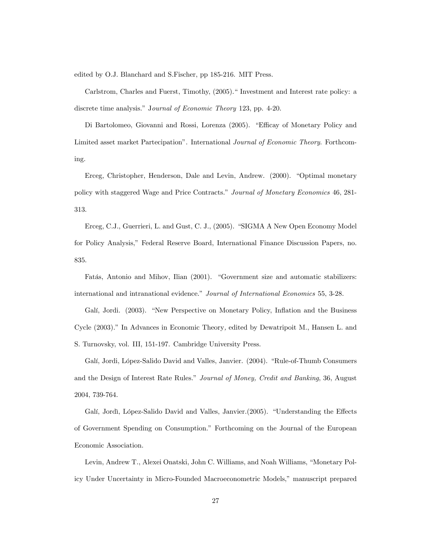edited by O.J. Blanchard and S.Fischer, pp 185-216. MIT Press.

Carlstrom, Charles and Fuerst, Timothy,  $(2005)$ .<sup>"</sup> Investment and Interest rate policy: a discrete time analysis." Journal of Economic Theory 123, pp. 4-20.

Di Bartolomeo, Giovanni and Rossi, Lorenza (2005). "Efficay of Monetary Policy and Limited asset market Partecipationî. International Journal of Economic Theory. Forthcoming.

Erceg, Christopher, Henderson, Dale and Levin, Andrew. (2000). "Optimal monetary policy with staggered Wage and Price Contracts.î Journal of Monetary Economics 46, 281- 313.

Erceg, C.J., Guerrieri, L. and Gust, C. J., (2005). "SIGMA A New Open Economy Model for Policy Analysis,î Federal Reserve Board, International Finance Discussion Papers, no. 835.

Fatás, Antonio and Mihov, Ilian (2001). "Government size and automatic stabilizers: international and intranational evidence." Journal of International Economics 55, 3-28.

Galí, Jordi. (2003). "New Perspective on Monetary Policy, Inflation and the Business Cycle (2003)." In Advances in Economic Theory, edited by Dewatripoit M., Hansen L. and S. Turnovsky, vol. III, 151-197. Cambridge University Press.

Galí, Jordi, López-Salido David and Valles, Janvier. (2004). "Rule-of-Thumb Consumers and the Design of Interest Rate Rules." Journal of Money, Credit and Banking, 36, August 2004, 739-764.

Galí, Jordì, López-Salido David and Valles, Janvier. (2005). "Understanding the Effects of Government Spending on Consumption.î Forthcoming on the Journal of the European Economic Association.

Levin, Andrew T., Alexei Onatski, John C. Williams, and Noah Williams, "Monetary Policy Under Uncertainty in Micro-Founded Macroeconometric Models," manuscript prepared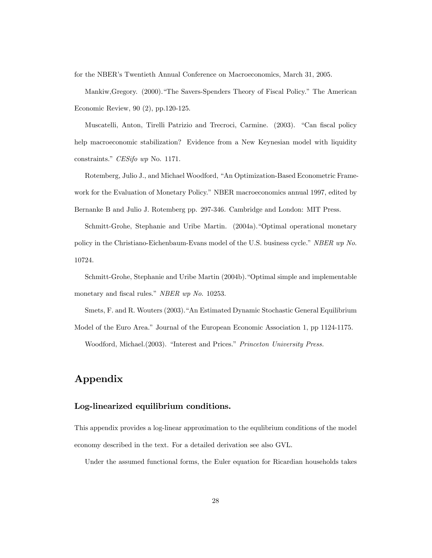for the NBER's Twentieth Annual Conference on Macroeconomics, March 31, 2005.

Mankiw, Gregory. (2000). "The Savers-Spenders Theory of Fiscal Policy." The American Economic Review, 90 (2), pp.120-125.

Muscatelli, Anton, Tirelli Patrizio and Trecroci, Carmine. (2003). "Can fiscal policy help macroeconomic stabilization? Evidence from a New Keynesian model with liquidity constraints." CESifo wp No. 1171.

Rotemberg, Julio J., and Michael Woodford, "An Optimization-Based Econometric Framework for the Evaluation of Monetary Policy." NBER macroeconomics annual 1997, edited by Bernanke B and Julio J. Rotemberg pp. 297-346. Cambridge and London: MIT Press.

Schmitt-Grohe, Stephanie and Uribe Martin. (2004a). Optimal operational monetary policy in the Christiano-Eichenbaum-Evans model of the U.S. business cycle." NBER wp No. 10724.

Schmitt-Grohe, Stephanie and Uribe Martin (2004b). "Optimal simple and implementable monetary and fiscal rules." NBER wp No. 10253.

Smets, F. and R. Wouters (2003). "An Estimated Dynamic Stochastic General Equilibrium Model of the Euro Area." Journal of the European Economic Association 1, pp 1124-1175.

Woodford, Michael.(2003). "Interest and Prices." Princeton University Press.

## Appendix

#### Log-linearized equilibrium conditions.

This appendix provides a log-linear approximation to the equlibrium conditions of the model economy described in the text. For a detailed derivation see also GVL.

Under the assumed functional forms, the Euler equation for Ricardian households takes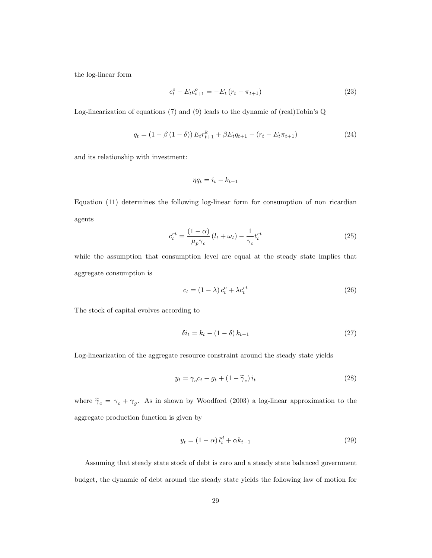the log-linear form

$$
c_t^o - E_t c_{t+1}^o = -E_t (r_t - \pi_{t+1})
$$
\n(23)

Log-linearization of equations  $(7)$  and  $(9)$  leads to the dynamic of (real)Tobin's Q

$$
q_t = (1 - \beta (1 - \delta)) E_t r_{t+1}^k + \beta E_t q_{t+1} - (r_t - E_t \pi_{t+1})
$$
\n(24)

and its relationship with investment:

$$
\eta q_t = i_t - k_{t-1}
$$

Equation (11) determines the following log-linear form for consumption of non ricardian agents

$$
c_t^{rt} = \frac{(1-\alpha)}{\mu_p \gamma_c} \left( l_t + \omega_t \right) - \frac{1}{\gamma_c} t_t^{rt} \tag{25}
$$

while the assumption that consumption level are equal at the steady state implies that aggregate consumption is

$$
c_t = (1 - \lambda) c_t^o + \lambda c_t^{rt}
$$
\n
$$
(26)
$$

The stock of capital evolves according to

$$
\delta i_t = k_t - (1 - \delta) k_{t-1} \tag{27}
$$

Log-linearization of the aggregate resource constraint around the steady state yields

$$
y_t = \gamma_c c_t + g_t + (1 - \tilde{\gamma}_c) i_t \tag{28}
$$

where  $\tilde{\gamma}_c = \gamma_c + \gamma_g$ . As in shown by Woodford (2003) a log-linear approximation to the aggregate production function is given by

$$
y_t = (1 - \alpha) l_t^d + \alpha k_{t-1}
$$
\n
$$
(29)
$$

Assuming that steady state stock of debt is zero and a steady state balanced government budget, the dynamic of debt around the steady state yields the following law of motion for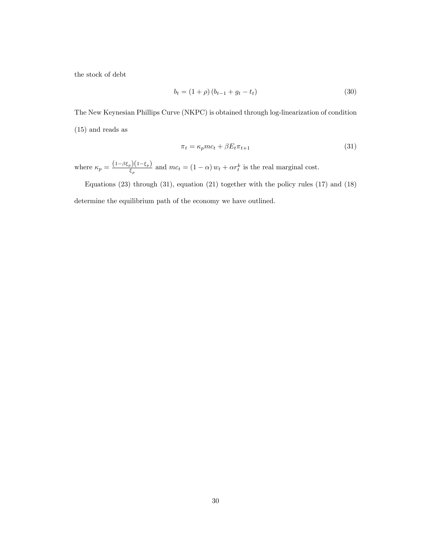the stock of debt

$$
b_t = (1 + \rho) (b_{t-1} + g_t - t_t)
$$
\n(30)

The New Keynesian Phillips Curve (NKPC) is obtained through log-linearization of condition (15) and reads as

$$
\pi_t = \kappa_p m c_t + \beta E_t \pi_{t+1} \tag{31}
$$

where  $\kappa_p = \frac{(1-\beta \xi_p)(1-\xi_p)}{\xi}$  $\frac{p_b(1-\epsilon_p)}{\epsilon_p}$  and  $mc_t = (1-\alpha) w_t + \alpha r_t^k$  is the real marginal cost.

Equations (23) through (31), equation (21) together with the policy rules (17) and (18) determine the equilibrium path of the economy we have outlined.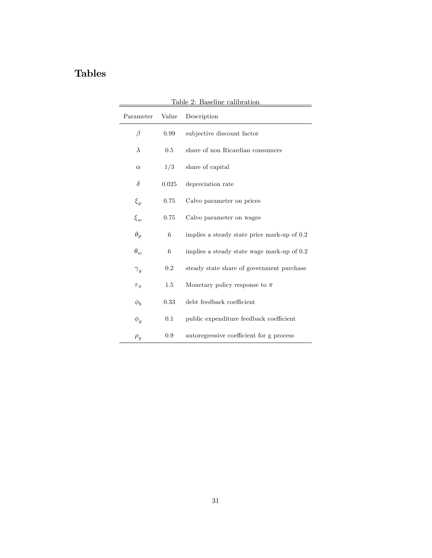## Tables

÷,

| Parameter    | Value | Description                                 |
|--------------|-------|---------------------------------------------|
| $\beta$      | 0.99  | subjective discount factor                  |
| $\lambda$    | 0.5   | share of non Ricardian consumers            |
| $\alpha$     | 1/3   | share of capital                            |
| $\delta$     | 0.025 | depreciation rate                           |
| $\xi_p$      | 0.75  | Calvo parameter on prices                   |
| $\xi_w$      | 0.75  | Calvo parameter on wages                    |
| $\theta_p$   | 6     | implies a steady state price mark-up of 0.2 |
| $\theta_w$   | 6     | implies a steady state wage mark-up of 0.2  |
| $\gamma_g$   | 0.2   | steady state share of government purchase   |
| $\tau_{\pi}$ | 1.5   | Monetary policy response to $\pi$           |
| $\phi_b$     | 0.33  | debt feedback coefficient                   |
| $\phi_g$     | 0.1   | public expenditure feedback coefficient     |
| $\rho_g$     | 0.9   | autoregressive coefficient for g process    |

Table 2: Baseline calibration

 $\overline{\phantom{0}}$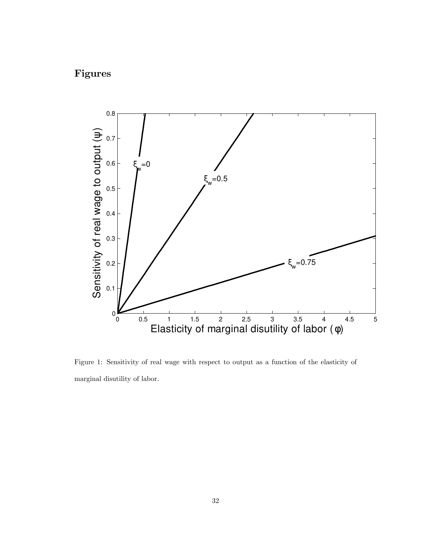## Figures



Figure 1: Sensitivity of real wage with respect to output as a function of the elasticity of marginal disutility of labor.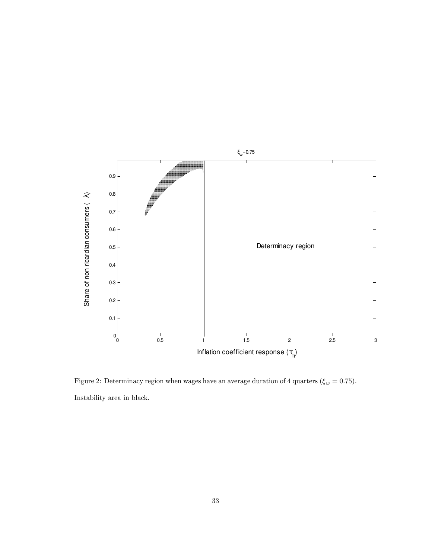

Figure 2: Determinacy region when wages have an average duration of 4 quarters ( $\xi_w = 0.75$ ). Instability area in black.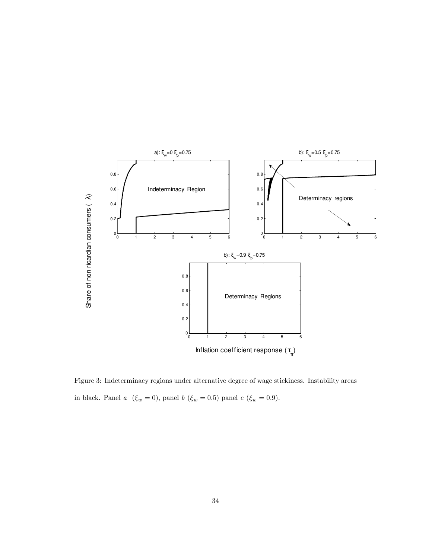

Figure 3: Indeterminacy regions under alternative degree of wage stickiness. Instability areas in black. Panel  $a\ \ (\xi_w=0),$  panel  $b\ \ (\xi_w=0.5)$  panel  $c\ \ (\xi_w=0.9).$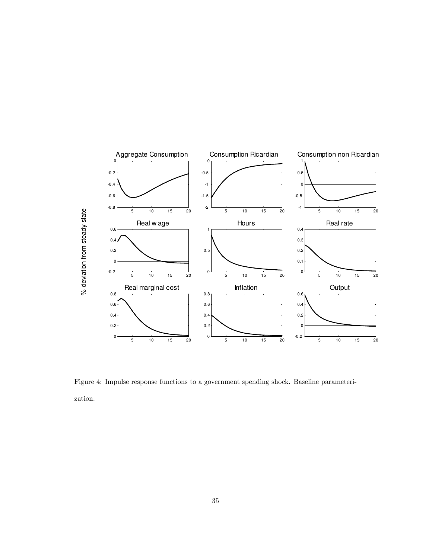

Figure 4: Impulse response functions to a government spending shock. Baseline parameterization.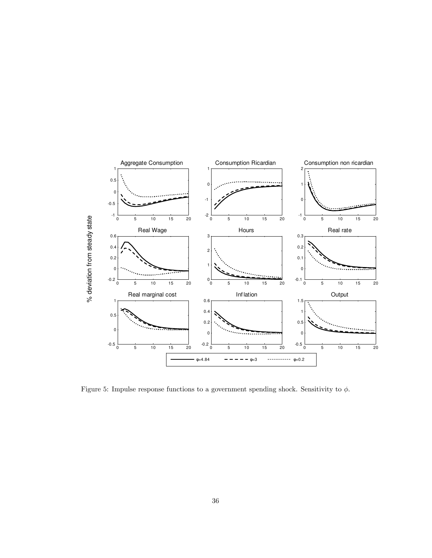

Figure 5: Impulse response functions to a government spending shock. Sensitivity to  $\phi$ .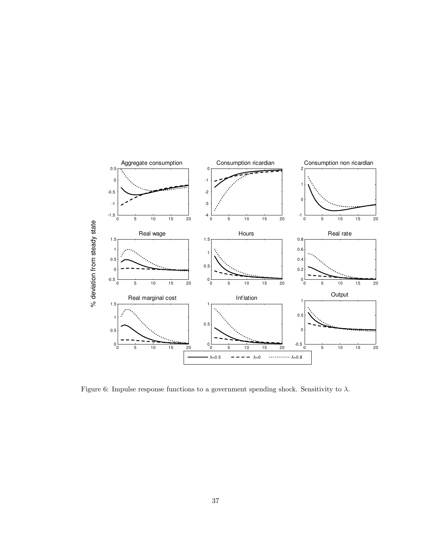

Figure 6: Impulse response functions to a government spending shock. Sensitivity to  $\lambda$ .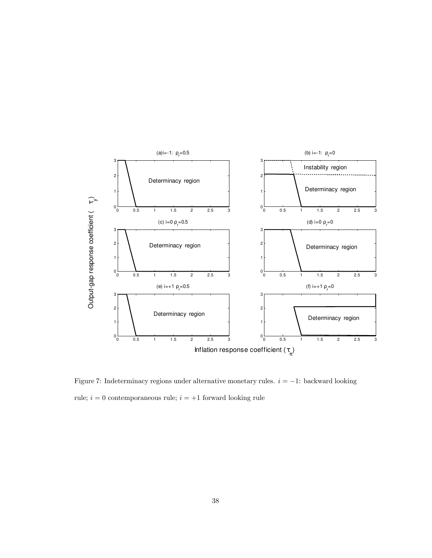

Figure 7: Indeterminacy regions under alternative monetary rules.  $i = -1$ : backward looking rule;  $i = 0$  contemporaneous rule;  $i = +1$  forward looking rule